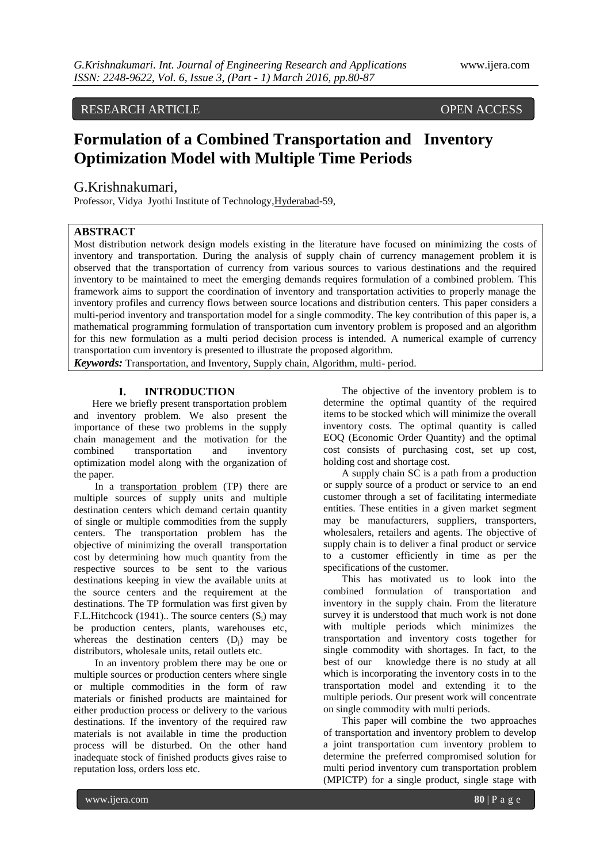# RESEARCH ARTICLE OPEN ACCESS

# **Formulation of a Combined Transportation and Inventory Optimization Model with Multiple Time Periods**

# G.Krishnakumari,

Professor, Vidya Jyothi Institute of Technology,Hyderabad-59,

### **ABSTRACT**

Most distribution network design models existing in the literature have focused on minimizing the costs of inventory and transportation. During the analysis of supply chain of currency management problem it is observed that the transportation of currency from various sources to various destinations and the required inventory to be maintained to meet the emerging demands requires formulation of a combined problem. This framework aims to support the coordination of inventory and transportation activities to properly manage the inventory profiles and currency flows between source locations and distribution centers. This paper considers a multi-period inventory and transportation model for a single commodity. The key contribution of this paper is, a mathematical programming formulation of transportation cum inventory problem is proposed and an algorithm for this new formulation as a multi period decision process is intended. A numerical example of currency transportation cum inventory is presented to illustrate the proposed algorithm.

*Keywords:* Transportation, and Inventory, Supply chain, Algorithm, multi- period.

### **I. INTRODUCTION**

Here we briefly present transportation problem and inventory problem. We also present the importance of these two problems in the supply chain management and the motivation for the combined transportation and inventory optimization model along with the organization of the paper.

In a transportation problem (TP) there are multiple sources of supply units and multiple destination centers which demand certain quantity of single or multiple commodities from the supply centers. The transportation problem has the objective of minimizing the overall transportation cost by determining how much quantity from the respective sources to be sent to the various destinations keeping in view the available units at the source centers and the requirement at the destinations. The TP formulation was first given by F.L.Hitchcock (1941).. The source centers  $(S_i)$  may be production centers, plants, warehouses etc, whereas the destination centers  $(D_i)$  may be distributors, wholesale units, retail outlets etc.

In an inventory problem there may be one or multiple sources or production centers where single or multiple commodities in the form of raw materials or finished products are maintained for either production process or delivery to the various destinations. If the inventory of the required raw materials is not available in time the production process will be disturbed. On the other hand inadequate stock of finished products gives raise to reputation loss, orders loss etc.

The objective of the inventory problem is to determine the optimal quantity of the required items to be stocked which will minimize the overall inventory costs. The optimal quantity is called EOQ (Economic Order Quantity) and the optimal cost consists of purchasing cost, set up cost, holding cost and shortage cost.

A supply chain SC is a path from a production or supply source of a product or service to an end customer through a set of facilitating intermediate entities. These entities in a given market segment may be manufacturers, suppliers, transporters, wholesalers, retailers and agents. The objective of supply chain is to deliver a final product or service to a customer efficiently in time as per the specifications of the customer.

This has motivated us to look into the combined formulation of transportation and inventory in the supply chain. From the literature survey it is understood that much work is not done with multiple periods which minimizes the transportation and inventory costs together for single commodity with shortages. In fact, to the best of our knowledge there is no study at all which is incorporating the inventory costs in to the transportation model and extending it to the multiple periods. Our present work will concentrate on single commodity with multi periods.

This paper will combine the two approaches of transportation and inventory problem to develop a joint transportation cum inventory problem to determine the preferred compromised solution for multi period inventory cum transportation problem (MPICTP) for a single product, single stage with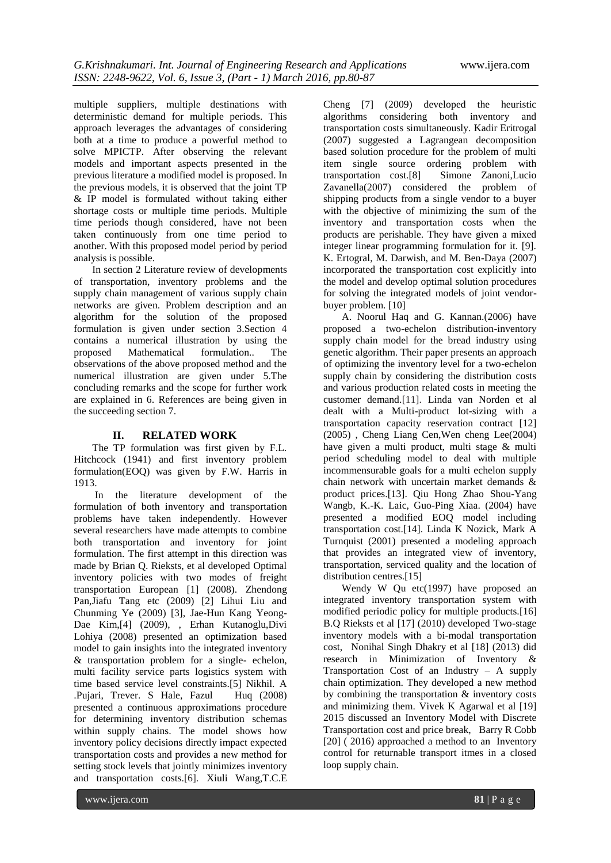multiple suppliers, multiple destinations with deterministic demand for multiple periods. This approach leverages the advantages of considering both at a time to produce a powerful method to solve MPICTP. After observing the relevant models and important aspects presented in the previous literature a modified model is proposed. In the previous models, it is observed that the joint TP & IP model is formulated without taking either shortage costs or multiple time periods. Multiple time periods though considered, have not been taken continuously from one time period to another. With this proposed model period by period analysis is possible.

In section 2 Literature review of developments of transportation, inventory problems and the supply chain management of various supply chain networks are given. Problem description and an algorithm for the solution of the proposed formulation is given under section 3.Section 4 contains a numerical illustration by using the proposed Mathematical formulation.. The observations of the above proposed method and the numerical illustration are given under 5.The concluding remarks and the scope for further work are explained in 6. References are being given in the succeeding section 7.

### **II. RELATED WORK**

The TP formulation was first given by F.L. Hitchcock (1941) and first inventory problem formulation(EOQ) was given by F.W. Harris in 1913.

In the literature development of the formulation of both inventory and transportation problems have taken independently. However several researchers have made attempts to combine both transportation and inventory for joint formulation. The first attempt in this direction was made by Brian Q. Rieksts, et al developed Optimal inventory policies with two modes of freight transportation European [1] (2008). Zhendong Pan,Jiafu Tang etc (2009) [2] Lihui Liu and Chunming Ye (2009) [3], Jae-Hun Kang Yeong-Dae Kim,[4] (2009), , Erhan Kutanoglu,Divi Lohiya (2008) presented an optimization based model to gain insights into the integrated inventory & transportation problem for a single- echelon, multi facility service parts logistics system with time based service level constraints.[5] Nikhil. A .Pujari, Trever. S Hale, Fazul Huq (2008) presented a continuous approximations procedure for determining inventory distribution schemas within supply chains. The model shows how inventory policy decisions directly impact expected transportation costs and provides a new method for setting stock levels that jointly minimizes inventory and transportation costs.[6]. Xiuli Wang,T.C.E

Cheng [7] (2009) developed the heuristic algorithms considering both inventory and transportation costs simultaneously. Kadir Eritrogal (2007) suggested a Lagrangean decomposition based solution procedure for the problem of multi item single source ordering problem with transportation cost.[8] Simone Zanoni,Lucio Zavanella(2007) considered the problem of shipping products from a single vendor to a buyer with the objective of minimizing the sum of the inventory and transportation costs when the products are perishable. They have given a mixed integer linear programming formulation for it. [9]. K. Ertogral, M. Darwish, and M. Ben-Daya (2007) incorporated the transportation cost explicitly into the model and develop optimal solution procedures for solving the integrated models of joint vendorbuyer problem. [10]

A. Noorul Haq and G. Kannan.(2006) have proposed a two-echelon distribution-inventory supply chain model for the bread industry using genetic algorithm. Their paper presents an approach of optimizing the inventory level for a two-echelon supply chain by considering the distribution costs and various production related costs in meeting the customer demand.[11]. Linda van Norden et al dealt with a Multi-product lot-sizing with a transportation capacity reservation contract [12] (2005) , Cheng Liang Cen,Wen cheng Lee(2004) have given a multi product, multi stage & multi period scheduling model to deal with multiple incommensurable goals for a multi echelon supply chain network with uncertain market demands & product prices.[13]. Qiu Hong Zhao Shou-Yang Wangb, K.-K. Laic, Guo-Ping Xiaa. (2004) have presented a modified EOQ model including transportation cost.[14]. Linda K Nozick, Mark A Turnquist (2001) presented a modeling approach that provides an integrated view of inventory, transportation, serviced quality and the location of distribution centres.[15]

Wendy W Qu etc(1997) have proposed an integrated inventory transportation system with modified periodic policy for multiple products.[16] B.Q Rieksts et al [17] (2010) developed Two-stage inventory models with a bi-modal transportation cost, Nonihal Singh Dhakry et al [18] (2013) did research in Minimization of Inventory & Transportation Cost of an Industry – A supply chain optimization. They developed a new method by combining the transportation & inventory costs and minimizing them. Vivek K Agarwal et al [19] 2015 discussed an Inventory Model with Discrete Transportation cost and price break, Barry R Cobb [20] (2016) approached a method to an Inventory control for returnable transport itmes in a closed loop supply chain.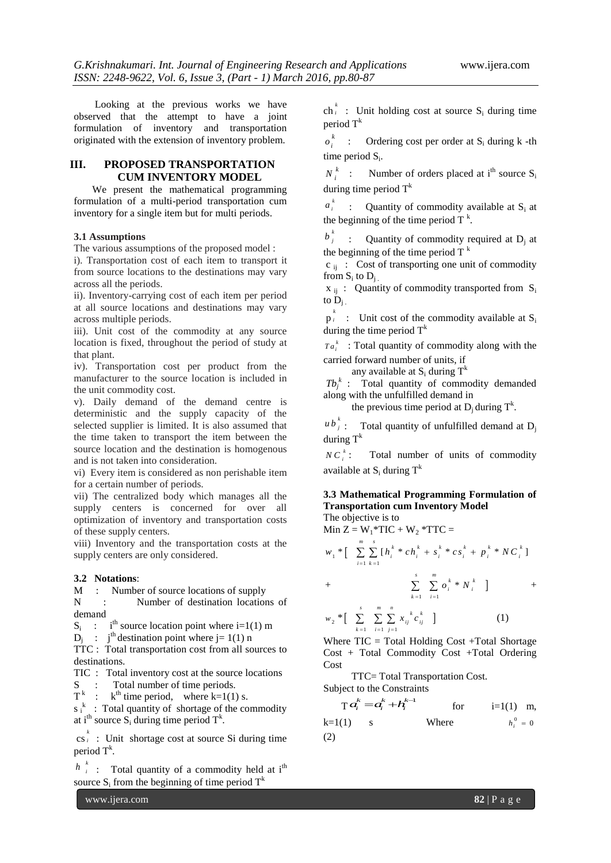Looking at the previous works we have observed that the attempt to have a joint formulation of inventory and transportation originated with the extension of inventory problem.

### **III. PROPOSED TRANSPORTATION CUM INVENTORY MODEL**

We present the mathematical programming formulation of a multi-period transportation cum inventory for a single item but for multi periods.

#### **3.1 Assumptions**

The various assumptions of the proposed model :

i). Transportation cost of each item to transport it from source locations to the destinations may vary across all the periods.

ii). Inventory-carrying cost of each item per period at all source locations and destinations may vary across multiple periods.

iii). Unit cost of the commodity at any source location is fixed, throughout the period of study at that plant.

iv). Transportation cost per product from the manufacturer to the source location is included in the unit commodity cost.

v). Daily demand of the demand centre is deterministic and the supply capacity of the selected supplier is limited. It is also assumed that the time taken to transport the item between the source location and the destination is homogenous and is not taken into consideration.

vi) Every item is considered as non perishable item for a certain number of periods.

vii) The centralized body which manages all the supply centers is concerned for over all optimization of inventory and transportation costs of these supply centers.

viii) Inventory and the transportation costs at the supply centers are only considered.

#### **3.2 Notations**:

M : Number of source locations of supply

N : Number of destination locations of demand

 $S_i$  : i<sup>th</sup> source location point where i=1(1) m

 $D_j$  : j<sup>th</sup> destination point where j= 1(1) n

TTC : Total transportation cost from all sources to destinations.

TIC : Total inventory cost at the source locations

S : Total number of time periods.

 $T^k$  :  $k^{\text{th}}$  time period, where k=1(1) s.

 $s_i^k$ : Total quantity of shortage of the commodity at i<sup>th</sup> source  $S_i$  during time period  $T^k$ .

 $\cos i$  : Unit shortage cost a  $\bar{i}$  : Unit shortage cost at source Si during time period  $T^k$ .

 $h \stackrel{k}{\rightarrow}$  Total quantity of a commodity held a  $\sum_{i}^{\kappa}$  : Total quantity of a commodity held at i<sup>th</sup> source  $S_i$  from the beginning of time period  $T^k$ 

 $\ch_i^k$  : Unit holding cost a  $i$  : Unit holding cost at source  $S_i$  during time period  $T<sup>k</sup>$ 

*k i* Ordering cost per order at  $S_i$  during  $k$  -th time period  $S_i$ .

 $N_i^k$ Number of orders placed at  $i<sup>th</sup>$  source S<sub>i</sub> during time period T<sup>k</sup>

 $a_i^k$  : Quantity of commodity available at S<sub>i</sub> at  $\mu_i$  : Quantity of commodity a<br>the beginning of the time period T<sup>k</sup>.

 $b_j^k$  : Quantity of commodity required at D<sub>j</sub> at  $\sigma_j$  : Quantity of commodity if the beginning of the time period  $T^k$ 

 $c_{ii}$ : Cost of transporting one unit of commodity from  $S_i$  to  $D_j$ .

 $x_{ij}$ : Quantity of commodity transported from  $S_i$ to  $D_i$ .

 $p_i^k$  : Unit cost of the co *i* : Unit cost of the commodity available at  $S_i$ during the time period  $T^k$ 

 $Ta_i^k$ : Total quantity of commodity along with the carried forward number of units, if

any available at  $S_i$  during  $T^k$ 

 $Tb_j^k$  : Total quantity of commodity demanded along with the unfulfilled demand in

the previous time period at  $D_j$  during  $T^k$ .

 $u b_j^k$ : Total quantity of unfulfilled demand at D<sub>j</sub> during  $T^k$ 

*k*  $C_i^k$ : Total number of units of commodity available at  $S_i$  during  $T^k$ 

#### **3.3 Mathematical Programming Formulation of Transportation cum Inventory Model**  The objective is to

Min 
$$
Z = W_1^*TIC + W_2^*TTC =
$$
  
\n
$$
w_1^* \left[ \sum_{i=1}^m \sum_{k=1}^s [h_i^k * ch_i^k + s_i^k * cs_i^k + p_i^k * NC_i^k] \right]
$$
\n+
$$
\sum_{k=1}^s \sum_{i=1}^m o_i^k * N_i^k \right] +
$$
\n
$$
w_2^* \left[ \sum_{k=1}^s \sum_{i=1}^m \sum_{j=1}^n x_{ij}^k c_{ij}^k \right] \qquad (1)
$$
\nWhere  $TIC = \text{Total Holding Cost} + \text{Total Shortage}$ 

Cost + Total Commodity Cost +Total Ordering Cost

TTC= Total Transportation Cost.

Subject to the Constraints

$$
\mathbf{T} \cdot \mathbf{a}_i^k = \mathbf{a}_i^k + \mathbf{h}_i^{k-1} \quad \text{for} \quad i=1(1) \text{ m},
$$
  
k=1(1) s   Where   
$$
h_i^0 = 0
$$
  
(2)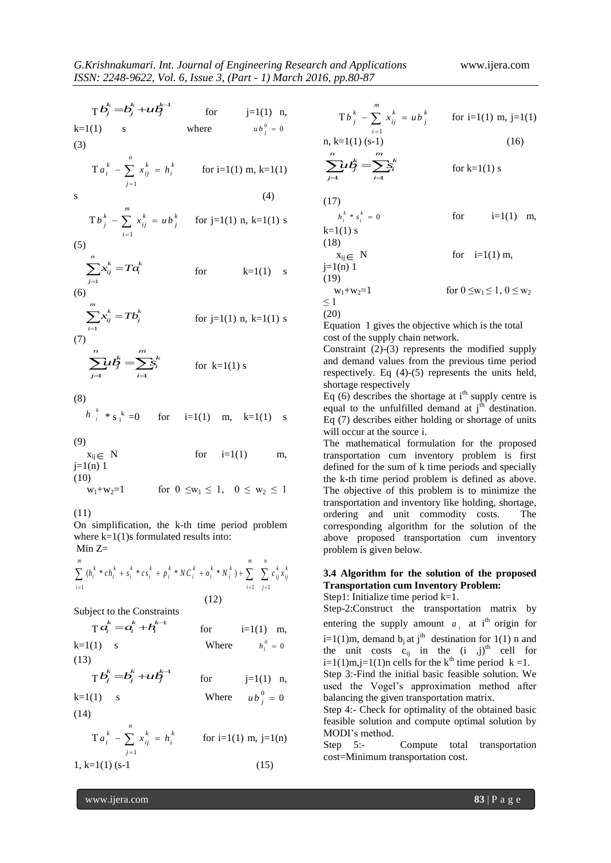T
$$
E_j^k = E_j^k + \iota\iota E_j^{-1}
$$
 for j=1(1) n,  $\nabla E_j = 0$   
\n(a)  $\nabla E_k^k = E_k^k$  for i=1(1) m, k=1(1)  
\n(b)  $\nabla E_k^k = 0$   
\n $\sum_{i=1}^n x_{ij}^k = u b_j^k$  for j=1(1) n, k=1(1)  
\n $\sum_{i=1}^n x_{ij}^k = 0$   
\n $\sum_{i=1}^n x_{ij}^k = u b_j^k$  for j=1(1) n, k=1(1)  
\n $\sum_{i=1}^n x_{ij}^k = 0$  for j=1(1) n, k=1(1)  
\n $\sum_{i=1}^n x_{ij}^k = 0$  for j=1(1) n, k=1(1)  
\n $\sum_{i=1}^n x_{ij}^k = 0$  for j=1(1) n, k=1(1)  
\n $\sum_{i=1}^n x_{ij}^k = 0$  for j=1(1) n, k=1(1)  
\n $\sum_{i=1}^n x_{ij}^k = 0$  for j=1(1) n, k=1(1)  
\n $\sum_{i=1}^n x_{ij}^k = 0$  for j=1(1) n, k=1(1)  
\n $\sum_{i=1}^n x_{ij}^k = 0$  for j=1(1) n, k=1(1)  
\n $\sum_{i=1}^n x_{ij}^k = 0$  for j=1(1) n, k=1(1)  
\n $\sum_{i=1}^n x_{ij}^k = 0$  for k=1(1)  
\n $\sum_{i=1}^n x_{ij}^k = 0$  for k=1(1)  
\n $\sum_{i=1}^n x_{ij}^k = 0$  for k=1(1)  
\n $\sum_{i=1}^n x_{ij}^k = 0$  for k=1(1)  
\n $\sum_{i=1}^n x_{ij}^k = 0$  for k=1(1)  
\n $\sum_{i=1}^n x_{ij}^k = 0$  for k=1(1)  
\n $\sum_{i=1}^n x_{ij$ 

On simplification, the k-th time period problem where  $k=1(1)$ s formulated results into:  $Min Z=$ 

Min Z=  
\n
$$
\sum_{i=1}^{m} (h_i^k * ch_i^k + s_i^k * cs_i^k + p_i^k * NC_i^k + o_i^k * N_i^k) + \sum_{i=1}^{m} \sum_{j=1}^{n} c_{ij}^k x_{ij}^k
$$
\n(12)

Subject to the Constraints

$$
\mathbf{T} \cdot \mathbf{a}_{i}^{k} = \mathbf{a}_{i}^{k} + \mathbf{h}_{i}^{k-1} \quad \text{for} \quad i=1(1) \quad \text{m},
$$
\n
$$
k=1(1) \quad s \quad \text{Where} \quad h_{i}^{0} = 0
$$
\n
$$
(13)
$$

 $T b_j^k = b_j^k + u t_j^{k-1}$  for  $j=1(1)$  n, Step 3 *j*  $k$   $k+l^{k-1}$  $b_j^k = b_j^k + u b_j^{k-1}$  for j=1(1) n,  $\alpha$ 

$$
k=1(1) \t s \t \t Where \t u bj0 = 0
$$
  
(14)

$$
T a_i^k - \sum_{j=1}^n x_{ij}^k = h_i^k \qquad \text{for } i=1(1) \text{ m, } j=1(n)
$$
  
1, k=1(1) (s-1) (15)

 $\sum u \xi = \sum_{i=1}^{m} k^{k}$  for k=1(1) s  $\sum_{i=1}^{n} u f_j^k = \sum_{i=1}^{m} s_i^k$  for k=1(1) s *m*  $\mathcal{U}\mathcal{L}_{j}^{k} = \sum_{i}^{m} s_{i}^{k}$  for k=1(1) s  $h_i^k * s_i^k = 0$  for i=1(1) m,  $w_1 + w_2 = 1$  for  $0 \le w_1 \le 1, 0 \le w_2$ 

Equation 1 gives the objective which is the total

upply and demand values from the previous time period held,

Eq (6) describes the shortage at  $i<sup>th</sup>$  supply centre is equal to the unfulfilled demand at  $j<sup>th</sup>$  destination. Eq (7) describes either holding or shortage of units

The mathematical formulation for the proposed transportation cum inventory problem is first cially the k-th time period problem is defined as above. The objective of this problem is to minimize the transportation and inventory like holding, shortage, ordering and unit commodity costs. The corresponding algorithm for the solution of the above proposed transportation cum inventory problem is given below.

# **3.4 Algorithm for the solution of the proposed Transportation cum Inventory Problem:**

Step1: Initialize time period k=1.

 $=a_i^k + h_i^{k-1}$  for  $i=1(1)$  m, entering the supply amount  $a_i$  at i<sup>th</sup> origin for Step-2:Construct the transportation matrix by  $i=1(1)$ m, demand  $b_j$  at  $j<sup>th</sup>$  destination for 1(1) n and the unit costs  $c_{ij}$  in the  $(i, j)$ <sup>th</sup> cell for  $i=1(1)m$ , $j=1(1)n$  cells for the k<sup>th</sup> time period k =1. Step 3:-Find the initial basic feasible solution. We used the Vogel's approximation method after balancing the given transportation matrix.

Step 4:- Check for optimality of the obtained basic feasible solution and compute optimal solution by MODI's method.

Step 5:- Compute total transportation cost=Minimum transportation cost.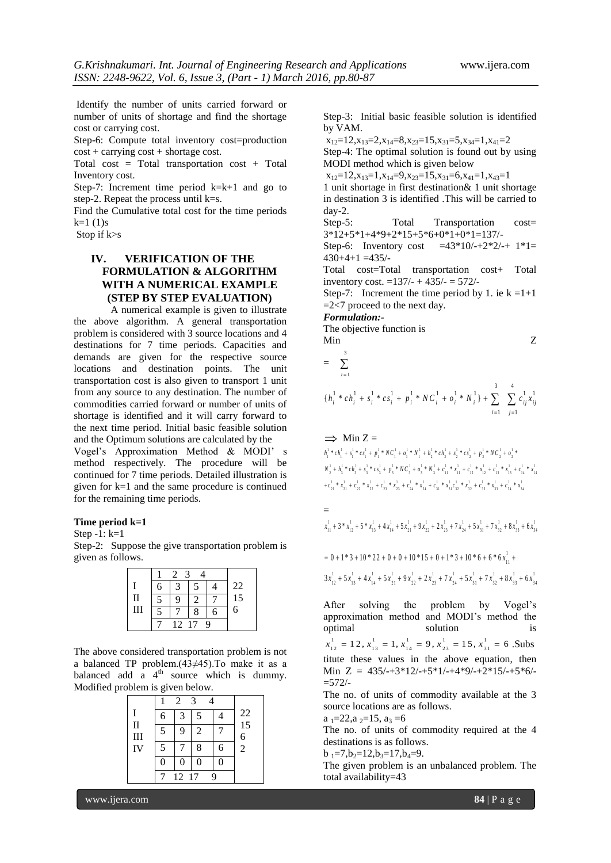Identify the number of units carried forward or number of units of shortage and find the shortage cost or carrying cost.

Step-6: Compute total inventory cost=production  $cost + carrying cost + shortage cost.$ 

Total cost = Total transportation cost + Total Inventory cost.

Step-7: Increment time period  $k=k+1$  and go to step-2. Repeat the process until k=s.

Find the Cumulative total cost for the time periods  $k=1$  (1)s

Stop if k>s

## **IV. VERIFICATION OF THE FORMULATION & ALGORITHM WITH A NUMERICAL EXAMPLE (STEP BY STEP EVALUATION)**

A numerical example is given to illustrate the above algorithm. A general transportation problem is considered with 3 source locations and 4 destinations for 7 time periods. Capacities and demands are given for the respective source locations and destination points. The unit transportation cost is also given to transport 1 unit from any source to any destination. The number of commodities carried forward or number of units of shortage is identified and it will carry forward to the next time period. Initial basic feasible solution and the Optimum solutions are calculated by the

Vogel's Approximation Method & MODI' s method respectively. The procedure will be continued for 7 time periods. Detailed illustration is given for k=1 and the same procedure is continued for the remaining time periods.

#### **Time period k=1**

Step -1: k=1

Step-2: Suppose the give transportation problem is given as follows.

|              | $\mathcal{R}$ |               |   |   |    |  |  |  |  |  |
|--------------|---------------|---------------|---|---|----|--|--|--|--|--|
|              | б             |               |   |   | 22 |  |  |  |  |  |
| $\mathbf{u}$ | -             | Q             |   |   | 15 |  |  |  |  |  |
| Ш            | ۳             |               | 8 | 6 | 6  |  |  |  |  |  |
|              |               | 9<br>12<br>17 |   |   |    |  |  |  |  |  |

The above considered transportation problem is not a balanced TP problem.(43≠45).To make it as a balanced add a  $4<sup>th</sup>$  source which is dummy. Modified problem is given below.

|                           | 6 | 3     | 5 |   | $\frac{22}{15}$ |
|---------------------------|---|-------|---|---|-----------------|
| $\mathbf{I}$<br>$\rm III$ | 5 | 9     | 2 |   | 6               |
| IV                        | 5 |       | 8 | 6 | $\overline{2}$  |
|                           | 0 | 0     | 0 | 0 |                 |
|                           |   | 12 17 |   | Q |                 |

Step-3: Initial basic feasible solution is identified by VAM.

 $x_{12}=12, x_{13}=2, x_{14}=8, x_{23}=15, x_{31}=5, x_{34}=1, x_{41}=2$ 

Step-4: The optimal solution is found out by using MODI method which is given below

 $x_{12}=12, x_{13}=1, x_{14}=9, x_{23}=15, x_{31}=6, x_{41}=1, x_{43}=1$ 

1 unit shortage in first destination& 1 unit shortage in destination 3 is identified .This will be carried to day-2.

Step-5: Total Transportation cost= 3\*12+5\*1+4\*9+2\*15+5\*6+0\*1+0\*1=137/-

Step-6: Inventory cost =43\*10/-+2\*2/-+  $1*1=$  $430+4+1 = 435/$ 

Total cost=Total transportation cost+ Total inventory cost.  $=137/- + 435/- = 572/-$ 

Step-7: Increment the time period by 1. ie  $k = 1+1$  $=2$ <7 proceed to the next day.

*Formulation:-*

The objective function is Min Z

$$
= \sum_{i=1}^{3}
$$

$$
\{h_i^1 * ch_i^1 + s_i^1 * cs_i^1 + p_i^1 * NC_i^1 + o_i^1 * N_i^1\} + \sum_{i=1}^3 \sum_{j=1}^4 c_{ij}^1 x_{ij}^1
$$

 $\implies$  Min Z =  $\Rightarrow \lim_{h_1^1 * c h_1^1 + s_1^1 * cs_1^1 + p_1^1 * NC_1^1 + o_1^1 * N_1^1 + h_2^1 * ch_2^1 + s_2^1 * cs_2^1 + p_2^1 * NC_2^1 + o_2^1 *$  $h_1^{1} * ch_1^{1} * s_1^{1} * cs_1^{1} + p_1^{1} * NC_1^{1} + o_1^{1} * N_1^{1} + h_2^{1} * ch_2^{1} + s_2^{1} * cs_2^{1} + p_2^{1} * NC_2^{1} + o_2^{1} *$ <br>  $N_2^{1} + h_3^{1} * ch_3^{1} + s_3^{1} * cs_3^{1} + p_3^{1} * NC_3^{1} + o_3^{1} * N_3^{1} + c_{11}^{1} * x_{11}^{1} + c_{12}^{1} * x_{12}^{1} + c_{13}^{1} * x_{1$  $\begin{aligned} N_{\frac{1}{2}}^{1} + h_{\frac{1}{2}}^{1} \ast c h_{\frac{1}{2}}^{1} + s_{\frac{1}{2}}^{1} \ast c_{\frac{1}{2}}^{1} + b_{\frac{1}{2}}^{1} \ast N C_{\frac{1}{2}}^{1} + o_{\frac{1}{2}}^{1} \ast s h_{\frac{1}{2}}^{1} + c_{\frac{1}{1}}^{1} \ast x_{\frac{1}{1}}^{1} + c_{\frac{1}{1}}^{1} \ast x_{\frac{1}{2}}^{1} + c_{\frac{1}{2}}^{1} \ast x_{\frac{1}{2}}^{1} + c_{\frac{1}{2}}^{$ 

$$
= \newline x_{11}^1 + 3 * x_{12}^1 + 5 * x_{13}^1 + 4 x_{14}^1 + 5 x_{21}^1 + 9 x_{22}^1 + 2 x_{23}^1 + 7 x_{24}^1 + 5 x_{31}^1 + 7 x_{32}^1 + 8 x_{33}^1 + 6 x_{34}^1
$$

$$
= 0 + 1*3 + 10*22 + 0 + 0 + 10*15 + 0 + 1*3 + 10*6 + 6*6x111 +3x121 + 5x131 + 4x141 + 5x211 + 9x221 + 2x231 + 7x241 + 5x311 + 7x321 + 8x331 + 6x341
$$

After solving the problem by Vogel's approximation method and MODI's method the optimal solution is ppumar<br>  $x_{12}^1 = 12, x_{13}^1 = 1, x_{14}^1 = 9, x_{23}^1 = 15, x_{31}^1 = 6$ . Subs titute these values in the above equation, then Min  $Z = 435/(-+3*12/(-+5*1/-+4*9/(-+2*15/(-+5*6/ =$  572/-

The no. of units of commodity available at the 3 source locations are as follows.

a  $_{1}=22$ , a  $_{2}=15$ , a<sub>3</sub> = 6

The no. of units of commodity required at the 4 destinations is as follows.

 $b_1=7, b_2=12, b_3=17, b_4=9.$ 

The given problem is an unbalanced problem. The total availability=43

www.ijera.com **84** | P a g e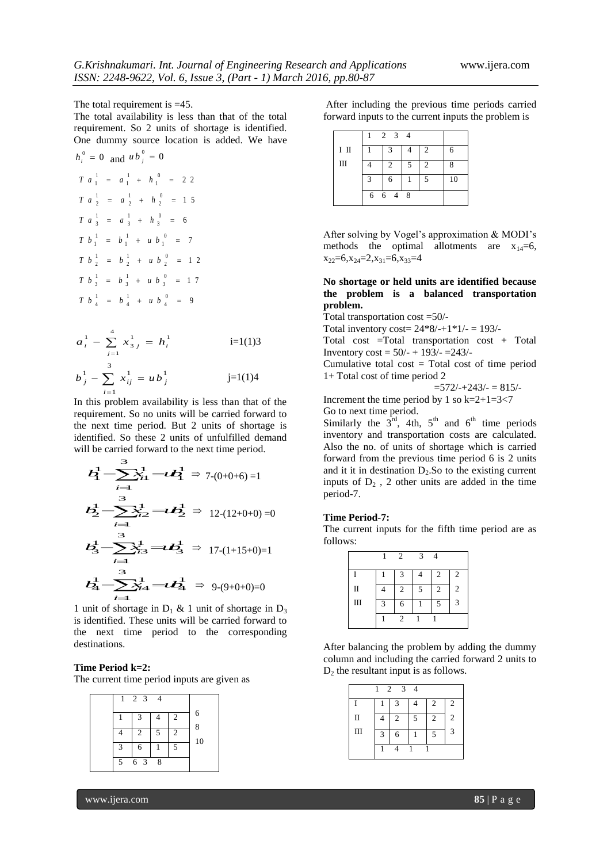The total requirement is  $=45$ . The total availability is less than that of the total requirement. So 2 units of shortage is identified. One dummy source location is added. We have otal requirement is =45<br>
total availability is less<br>
rement. So 2 units of<br>
dummy source location<br>
0 and  $u b_j^0 = 0$ <br>  $\frac{1}{1} = a_1^1 + h_1^0 = 2$ ournal of En<br>
5, Issue 3, (P<br>
5. Issue 3, (P<br>
45.<br>
15 and that<br>
16 and the same is<br>
2 2<br>
2 2<br>
15 5, *Issue* 3,  $(P$ <br>
45.<br>
tess than that<br>
of shortage is<br>
tion is added<br>
2 2<br>
1 5<br>
6 hnakumari. Int. Journal of Engineering Research a<br>
2248-9622, Vol. 6, Issue 3, (Part - 1) March 2016,<br>
al requirement is =45.<br>
al availability is less than that of the total for<br>
ment. So 2 units of shortage is identified 248-9622, *Vol.* 6, *Issue 3*, (*Part - 1*) *March 2016*, *p*<br>1 requirement is =45. Af<br>al availability is less than that of the total for-<br>nent. So 2 units of shortage is identified.<br>mmy source location is added. We have<br>

G.Krishnakumari. Int. Journal of Engineering Research and App  
\nISSN: 2248-9622, Vol. 6, Issue 3, (Part - 1) March 2016, pp.80-  
\nThe total requirement is =45. After inc  
\nThe total availability is less than that of the total  
\nrequirement. So 2 units of shortage is identified.  
\nOne dummy source location is added. We have  
\n
$$
h_i^0 = 0
$$
 and  $u b_j^0 = 0$   
\n $T a_i^1 = a_i^1 + h_i^0 = 22$   
\n $T a_i^1 = a_i^1 + h_i^0 = 22$   
\n $T a_i^1 = a_i^1 + h_i^0 = 7$   
\n $T b_i^1 = b_i^1 + u b_i^0 = 7$   
\n $T b_i^1 = b_i^1 + u b_i^0 = 17$   
\n $T b_i^1 = b_i^1 + u b_i^0 = 9$   
\n $T b_i^1 = b_i^1 + u b_i^0 = 9$   
\n $a_i^1 - \sum_{j=1}^4 x_{3j}^1 = h_i^1$   
\n $a_i^1 - \sum_{j=1}^4 x_{3j}^1 = h_i^1$   
\nIn this problem availability is less than that of the  
\nconvolution. Total tran  
\n $a_i^1 - \sum_{j=1}^4 x_{3j}^1 = h_i^1$   
\nIn this problem availability is less than that of the  
\nnumultativity is less than that of the  
\nrecquirement. So no units will be carried forward to  
\nthe next time period. But 2 units of shortage is  
\ndentified. So these 2 units of undrfilled demand  
\nwill be carried forward to the next time period.  
\n $A_i^1 - \sum_{i=1}^3 x_{i+1}^1 = \nu A_i^1 \Rightarrow 7-(0+0+6) = 1$   
\nand it it in  
\ninputs of a border. The current  
\nproduct field of the  
\nforward of  
\n $A_i^1 - \sum_{i=1}^3 x_{i+1}^1 = \nu A_i^1 \Rightarrow 7-(0+0+6) = 1$   
\nand it it in parts of a border.

$$
a_i^1 - \sum_{j=1}^4 x_{3j}^1 = h_i^1
$$
   
 i=1(1)3  

$$
b_j^1 - \sum_{i=1}^3 x_{ij}^1 = u b_j^1
$$
   
 j=1(1)4

In this problem availability is less than that of the requirement. So no units will be carried forward to the next time period. But 2 units of shortage is identified. So these 2 units of unfulfilled demand will be carried forward to the next time period.

*Krislmakumari, Int. Journal of Engineering Research and Applications*  
\nSN: 2248-9622, Vol. 6, Issue 3, (Part - 1) March 2016, pp.80-87  
\nnot all availability is less than that of the total  
\n
$$
v = 0
$$
 and  $ub^2 = 0$   
\n $a^1_2 = a^1_1 + b^0_1 = 2$   
\n $a^1_2 = a^1_1 + b^0_1 = 7$   
\n $a^1_2 = a^1_2 + b^2_2 = 15$   
\n $a^1_2 = a^1_1 + b^0_1 = 7$   
\n $a^1_2 = b^1_1 + a^1_2 = 22$   
\n $a^1_2 = a^1_2 + b^2_2 = 15$   
\n $a^1_2 = a^1_2 + b^2_2 = 12$   
\n $a^1_2 = b^1_1 + a^1_2 = 2$   
\n $b^1_2 = b^1_2 + b^2_2 = 12$   
\n $b^1_2 = b^1_2 + b^1_2 = 17$   
\n $b^1_2 = b^1_2 + b^1_2 = 17$   
\n $b^1_2 = b^1_2 + b^1_2 = 17$   
\n $b^1_2 = b^1_2 + b^1_2 = 17$   
\n $b^1_2 = b^1_2 + b^1_2 = 17$   
\n $b^1_2 = b^1_2 + b^1_2 = 17$   
\n $b^1_2 = b^1_2 + b^1_2 = 17$   
\n $b^1_2 = b^1_2 + b^1_2 = 17$   
\n $b^1_2 = b^1_2 + b^1_2 = 17$   
\n $b^1_2 = b^1_2 + b^1_2 = 17$   
\n $b^1_2 = b^1_2 + b^1_2 = 17$   
\n $b^1_2 = b^1_2 + b^1_2 = 17$   
\n $b^1_2 = b^1_2 + b^1_2 = 17$   
\n $b^1_2 = b^1_2 + b^1_2 = 17$ 

1 unit of shortage in  $D_1$  & 1 unit of shortage in  $D_3$ is identified. These units will be carried forward to the next time period to the corresponding destinations.

#### **Time Period k=2:**

The current time period inputs are given as

| 2 <sub>3</sub><br>1 |     |   |                |    |
|---------------------|-----|---|----------------|----|
|                     | 3   |   | $\overline{2}$ | 6  |
|                     | 2   | 5 | $\overline{c}$ | 8  |
| 3                   | 6   |   | $\overline{5}$ | 10 |
| 5                   | 6 3 | 8 |                |    |

After including the previous time periods carried forward inputs to the current inputs the problem is

|    |         | 2 3 4          |   |                          |    |  |  |  |  |  |  |  |
|----|---------|----------------|---|--------------------------|----|--|--|--|--|--|--|--|
| ΙШ |         | 3              |   | $\mathcal{L}$            | 6  |  |  |  |  |  |  |  |
| Ш  |         | $\mathfrak{D}$ | 5 | $\mathfrak{D}$           | 8  |  |  |  |  |  |  |  |
|    | κ       | 6              |   | $\overline{\phantom{1}}$ | 10 |  |  |  |  |  |  |  |
|    | 6 6 4 8 |                |   |                          |    |  |  |  |  |  |  |  |

After solving by Vogel's approximation & MODI's methods the optimal allotments are  $x_{14}=6$ ,  $x_{22}=6, x_{24}=2, x_{31}=6, x_{33}=4$ 

**No shortage or held units are identified because the problem is a balanced transportation problem.**

Total transportation cost =50/-

Total inventory cost=  $24*8/-+1*1/- = 193/-$ 

Total cost =Total transportation cost + Total Inventory cost = 50/- + 193/- =243/-

Cumulative total cost  $=$  Total cost of time period 1+ Total cost of time period 2

 $=572/-+243/- = 815/-$ 

Increment the time period by 1 so  $k=2+1=3<7$ Go to next time period.

Similarly the  $3^{\text{rd}}$ , 4th,  $5^{\text{th}}$  and  $6^{\text{th}}$  time periods inventory and transportation costs are calculated. Also the no. of units of shortage which is carried forward from the previous time period 6 is 2 units and it it in destination  $D_2$ . So to the existing current inputs of  $D_2$ , 2 other units are added in the time period-7.

#### **Time Period-7:**

The current inputs for the fifth time period are as follows:

|              |                        | $\overline{2}$ | 3 |                |   |
|--------------|------------------------|----------------|---|----------------|---|
|              |                        | 3              |   | $\overline{2}$ | 2 |
| $\mathbf{I}$ |                        | $\overline{c}$ | 5 | 2              | 2 |
| Ш            | $\mathbf{\mathcal{R}}$ | 6              |   |                | 3 |
|              |                        | 2              |   |                |   |

After balancing the problem by adding the dummy column and including the carried forward 2 units to  $D_2$  the resultant input is as follows.

| 2<br>$\overline{3}$<br>1<br>$\overline{4}$ |   |                |   |                |   |  |  |  |  |  |  |  |
|--------------------------------------------|---|----------------|---|----------------|---|--|--|--|--|--|--|--|
|                                            |   | 3              |   | 2              | 2 |  |  |  |  |  |  |  |
| $\mathbf{I}$                               |   | $\overline{2}$ | 5 | $\overline{2}$ | 2 |  |  |  |  |  |  |  |
| Ш                                          | 3 | 6              |   | $\overline{5}$ | 3 |  |  |  |  |  |  |  |
|                                            |   |                |   |                |   |  |  |  |  |  |  |  |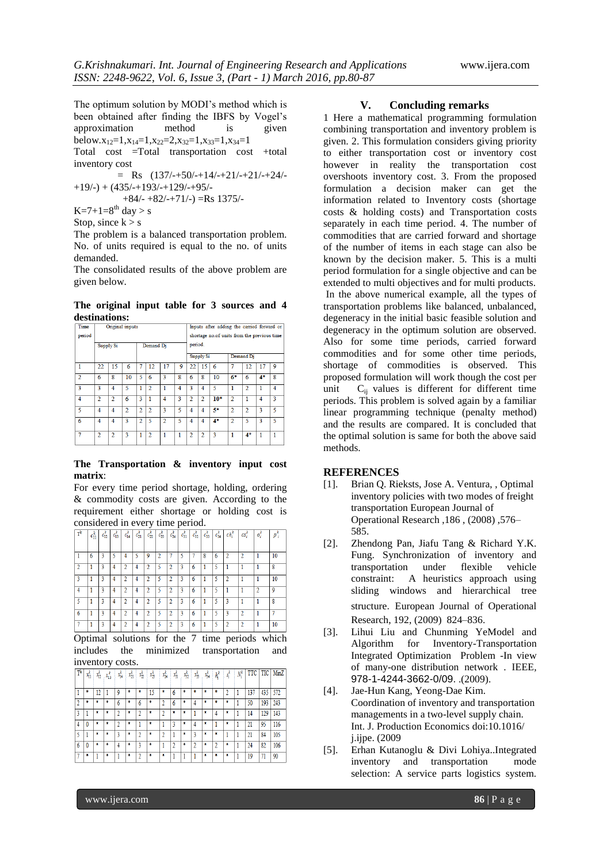The optimum solution by MODI's method which is been obtained after finding the IBFS by Vogel's approximation method is given below. $x_{12}=1, x_{14}=1, x_{22}=2, x_{32}=1, x_{33}=1, x_{34}=1$ Total cost =Total transportation cost +total inventory cost

 $=$  Rs  $(137/-+50/-+14/-+21/-+21/-+24/ +19/$ -) +  $(435/$ - $+193/$ - $+129/$ - $+95/$ -

$$
+84/-+82/-+71/-
$$
) =Rs 1375/-

 $K=7+1=8^{th}$  day > s

Stop, since  $k > s$ 

The problem is a balanced transportation problem. No. of units required is equal to the no. of units demanded.

The consolidated results of the above problem are given below.

**The original input table for 3 sources and 4 destinations:**

| <b>Time</b>    |                |                | Original inputs |                |                         |                |                | Inputs after adding the carried forward or  |                |       |                |                |                |   |
|----------------|----------------|----------------|-----------------|----------------|-------------------------|----------------|----------------|---------------------------------------------|----------------|-------|----------------|----------------|----------------|---|
| period         |                |                |                 |                |                         |                |                | shortage no.of units from the previous time |                |       |                |                |                |   |
|                | Supply Si      |                |                 |                | Demand Di               |                |                | period.                                     |                |       |                |                |                |   |
|                |                |                |                 |                | Demand Di<br>Supply Si  |                |                |                                             |                |       |                |                |                |   |
| 1              | 22             | 15             | 6               |                | 12                      |                | 9              | 22                                          | 15             | 6     |                | 12             | 17             | 9 |
| $\overline{2}$ | 6              | 8              | 10              | 5              | 6                       | 3              | 8              | 6                                           | 8              | 10    | $6*$           | 6              | 4*             | 8 |
| 3              | ą.             | $\overline{4}$ | 5               | 1              | $\overline{\mathbf{c}}$ |                | $\overline{4}$ | ٩                                           | $\overline{4}$ | 5     | 1              | $\overline{2}$ |                | 4 |
| 4              | $\overline{2}$ | $\overline{2}$ | 6               | 3              |                         | $\overline{4}$ | 3              | $\overline{2}$                              | $\overline{2}$ | $10*$ | $\overline{2}$ |                | $\overline{4}$ | 3 |
| 5              | 4              | 4              | $\overline{2}$  | $\overline{2}$ | $\overline{2}$          | ٩              | 5              | 4                                           | 4              | 5*    | $\overline{2}$ | $\overline{2}$ | 3              | 5 |
| 6              | 4              | 4              | 3               | $\overline{2}$ | $\overline{\mathbf{5}}$ | $\overline{2}$ | 5              | 4                                           | 4              | $4*$  | $\overline{2}$ | 5              | 3              | 5 |
| $\overline{7}$ | $\overline{a}$ | $\mathcal{D}$  | ٩               | 1              | o                       | 1              |                | <sup>2</sup>                                | 2              | 3     | 1              | $4*$           | 1              | 1 |

#### **The Transportation & inventory input cost matrix**:

For every time period shortage, holding, ordering & commodity costs are given. According to the requirement either shortage or holding cost is considered in every time period.

| $T^k$                    | $c_{11}^k$ | $c_{12}^k$ | $c_{13}^k$ | $c_{14}^k$     | $c_{21}^k$ | $c_{22}^k$ | $c_{23}^k$ | $c_{24}^k$ | $c_{31}^k$ | $c_{32}^k$ | $c_{33}^k$ | $c_{34}^k$ | $ch_i^k$     | $cs_i^k$                | $o_i^k$ | $p_i^{\epsilon}$ |
|--------------------------|------------|------------|------------|----------------|------------|------------|------------|------------|------------|------------|------------|------------|--------------|-------------------------|---------|------------------|
|                          |            |            |            |                |            |            |            |            |            |            |            |            |              |                         |         |                  |
|                          | 6          | 3          | ۲          | 4              | 5          | 9          | 2          |            | ٢          |            | 8          | 6          | 2            | $\overline{\mathbf{r}}$ |         | 10               |
| $\overline{\mathcal{L}}$ |            | 3          | 4          | $\overline{2}$ | 4          | 2          | 5          | 2          | 3          | 6          |            | 5          |              |                         |         | 8                |
| 3                        | 1          | 3          | 4          | 2              | 4          | 2          | 5          | 2          | 3          | 6          | 1          | 5          | 2            |                         |         | 10               |
| 4                        |            | 3          | 4          | 2              | 4          | 2          | 5          | 2          | 3          | 6          |            | 5          |              |                         | n       | 9                |
| 5                        |            | 3          | 4          | 2              | 4          | 2          | 5          | 2          | 3          | 6          |            | 5          | 3            |                         |         | 8                |
| 6                        |            | 3          | 4          | $\overline{2}$ | 4          | 2          | 5          | 2          | 3          | 6          |            | 5          | ٩            | $\mathfrak{D}$          |         |                  |
|                          |            | 3          | 4          | 2              | 4          | ŋ          | 5          | 2          | ٩          | 6          |            | 5          | <sup>2</sup> | ŋ                       |         | 10               |

Optimal solutions for the 7 time periods which includes the minimized transportation and inventory costs.

| $T^k$          | $x_{11}^k$ | $x_{12}^k$ | x¦3 | $x_{14}^k$ | $x_{21}^k$ | $x_n^k$ | $x_B^k$ | r, | $x_{\rm fl}^k$ | 蜻 | $x_{\rm B}^k$ | $x_{34}^k$ | $h_i^k$ | $s_i^k$ | $N_i^k$ |     |     | TTC TIC MinZ |
|----------------|------------|------------|-----|------------|------------|---------|---------|----|----------------|---|---------------|------------|---------|---------|---------|-----|-----|--------------|
|                |            |            |     |            |            |         |         |    |                |   |               |            |         |         |         |     |     |              |
|                |            | 12         |     | 9          | ٨          |         | 15      |    | 6              | ٨ | ż             | ۵          | ż       |         |         | 137 | 435 | 572          |
| $\overline{2}$ |            | ż          | ż   | 6          | ٠          | 6       |         |    | 6              | ٠ | 4             | ۰          | ٠       | ż       |         | 50  | 193 | 243          |
| 3              |            | ٠          | ż   | າ          | ٠          |         | ż       | 2  | ٠              | ٠ |               | ۰          | 4       | ۰       |         | 14  | 129 | 143          |
| 4              |            | Ŕ          |     |            | ۸          |         |         |    |                | ۵ |               | ۰          |         | Ŕ       |         | 21  | 95  | 116          |
|                |            | Ŕ          | Ŕ   | ٩          | ۰          |         | Ŕ       |    |                | ۰ | 3             | ۸          | ۰       |         |         | 21  | 84  | 105          |
| 6              |            | ۰          | Ŕ   | 4          | ۰          |         | ۰       |    | ŋ              | ۰ | ŋ             | ۰          | 2       | ۰       |         | 24  | 82  | 106          |
|                | ۰          |            | 8   |            | ۰          |         |         | ż  |                |   |               | ٠          | ۰       | ۰       |         | 19  | 71  | 90           |

#### **V. Concluding remarks**

1 Here a mathematical programming formulation combining transportation and inventory problem is given. 2. This formulation considers giving priority to either transportation cost or inventory cost however in reality the transportation cost overshoots inventory cost. 3. From the proposed formulation a decision maker can get the information related to Inventory costs (shortage costs & holding costs) and Transportation costs separately in each time period. 4. The number of commodities that are carried forward and shortage of the number of items in each stage can also be known by the decision maker. 5. This is a multi period formulation for a single objective and can be extended to multi objectives and for multi products. In the above numerical example, all the types of transportation problems like balanced, unbalanced, degeneracy in the initial basic feasible solution and degeneracy in the optimum solution are observed. Also for some time periods, carried forward commodities and for some other time periods, shortage of commodities is observed. This proposed formulation will work though the cost per unit  $C_{ii}$  values is different for different time periods. This problem is solved again by a familiar linear programming technique (penalty method) and the results are compared. It is concluded that the optimal solution is same for both the above said methods.

#### **REFERENCES**

- [1]. Brian Q. Rieksts, Jose A. Ventura, , Optimal inventory policies with two modes of freight transportation European Journal of Operational Research ,186 , (2008) ,576– 585.
- [2]. Zhendong Pan, Jiafu Tang & Richard Y.K. Fung. Synchronization of inventory and transportation under flexible vehicle constraint: A heuristics approach using sliding windows and hierarchical tree structure. European Journal of Operational Research, 192, (2009) 824–836.
- [3]. Lihui Liu and Chunming YeModel and Algorithm for Inventory-Transportation Integrated Optimization Problem -In view of many-one distribution network . IEEE*,* 978-1-4244-3662-0/09. .(2009).
- [4]. Jae-Hun Kang, Yeong-Dae Kim. Coordination of inventory and transportation managements in a two-level supply chain. Int. J. Production Economics doi:10.1016/ j.ijpe. (2009
- [5]. Erhan Kutanoglu & Divi Lohiya..Integrated inventory and transportation mode selection: A service parts logistics system.